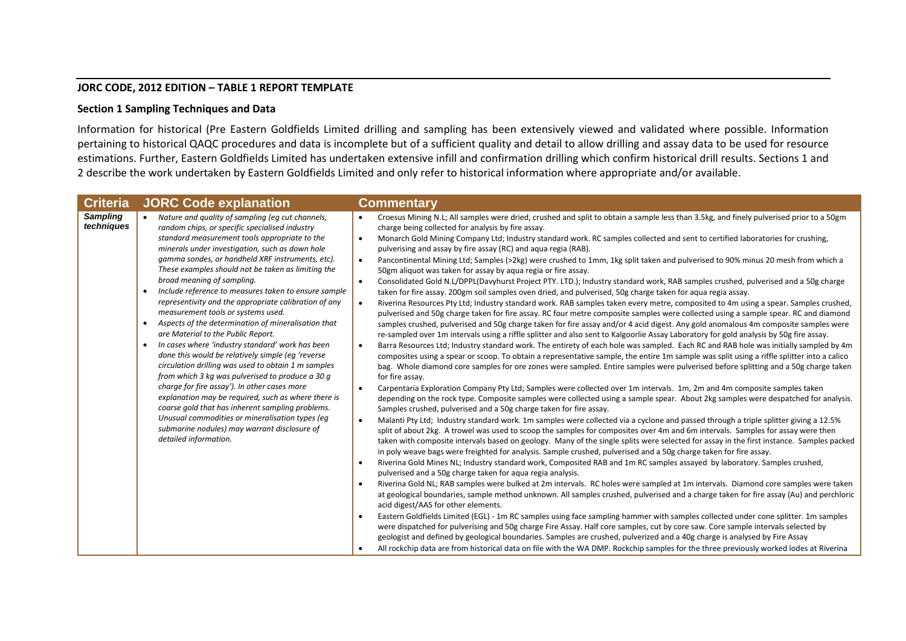## **JORC CODE, 2012 EDITION – TABLE 1 REPORT TEMPLATE**

## **Section 1 Sampling Techniques and Data**

Information for historical (Pre Eastern Goldfields Limited drilling and sampling has been extensively viewed and validated where possible. Information pertaining to historical QAQC procedures and data is incomplete but of a sufficient quality and detail to allow drilling and assay data to be used for resource estimations. Further, Eastern Goldfields Limited has undertaken extensive infill and confirmation drilling which confirm historical drill results. Sections 1 and 2 describe the work undertaken by Eastern Goldfields Limited and only refer to historical information where appropriate and/or available.

| <b>Criteria</b>               | <b>JORC Code explanation</b>                                                                                                                                                                                                                                                                                                                                                                                                                                                                                                                                                                                                                                                                                                                                                                                                                                                                                                                                                                                                                                                                                                                         | <b>Commentary</b>                                                                                                                                                                                                                                                                                                                                                                                                                                                                                                                                                                                                                                                                                                                                                                                                                                                                                                                                                                                                                                                                                                                                                                                                                                                                                                                                                                                                                                                                                                                                                                                                                                                                                                                                                                                                                                                                                                                                                                                                                                                                                                                                                                                                                                                                                                                                                                                                                                                                                                                                                                                                                                                                                                                                                                                                                                                                                                                                                                                                                                                                                                                                                                                                                                                                                                                                                                                                                                                                                                                                                                                                                                                                                                                                                                                                                                                                                          |
|-------------------------------|------------------------------------------------------------------------------------------------------------------------------------------------------------------------------------------------------------------------------------------------------------------------------------------------------------------------------------------------------------------------------------------------------------------------------------------------------------------------------------------------------------------------------------------------------------------------------------------------------------------------------------------------------------------------------------------------------------------------------------------------------------------------------------------------------------------------------------------------------------------------------------------------------------------------------------------------------------------------------------------------------------------------------------------------------------------------------------------------------------------------------------------------------|------------------------------------------------------------------------------------------------------------------------------------------------------------------------------------------------------------------------------------------------------------------------------------------------------------------------------------------------------------------------------------------------------------------------------------------------------------------------------------------------------------------------------------------------------------------------------------------------------------------------------------------------------------------------------------------------------------------------------------------------------------------------------------------------------------------------------------------------------------------------------------------------------------------------------------------------------------------------------------------------------------------------------------------------------------------------------------------------------------------------------------------------------------------------------------------------------------------------------------------------------------------------------------------------------------------------------------------------------------------------------------------------------------------------------------------------------------------------------------------------------------------------------------------------------------------------------------------------------------------------------------------------------------------------------------------------------------------------------------------------------------------------------------------------------------------------------------------------------------------------------------------------------------------------------------------------------------------------------------------------------------------------------------------------------------------------------------------------------------------------------------------------------------------------------------------------------------------------------------------------------------------------------------------------------------------------------------------------------------------------------------------------------------------------------------------------------------------------------------------------------------------------------------------------------------------------------------------------------------------------------------------------------------------------------------------------------------------------------------------------------------------------------------------------------------------------------------------------------------------------------------------------------------------------------------------------------------------------------------------------------------------------------------------------------------------------------------------------------------------------------------------------------------------------------------------------------------------------------------------------------------------------------------------------------------------------------------------------------------------------------------------------------------------------------------------------------------------------------------------------------------------------------------------------------------------------------------------------------------------------------------------------------------------------------------------------------------------------------------------------------------------------------------------------------------------------------------------------------------------------------------------------------------|
| <b>Sampling</b><br>techniques | Nature and quality of sampling (eq cut channels,<br>random chips, or specific specialised industry<br>standard measurement tools appropriate to the<br>minerals under investigation, such as down hole<br>gamma sondes, or handheld XRF instruments, etc).<br>These examples should not be taken as limiting the<br>broad meaning of sampling.<br>Include reference to measures taken to ensure sample<br>$\bullet$<br>representivity and the appropriate calibration of any<br>measurement tools or systems used.<br>Aspects of the determination of mineralisation that<br>$\bullet$<br>are Material to the Public Report.<br>In cases where 'industry standard' work has been<br>$\bullet$<br>done this would be relatively simple (eq 'reverse<br>circulation drilling was used to obtain 1 m samples<br>from which 3 kg was pulverised to produce a 30 g<br>charge for fire assay'). In other cases more<br>explanation may be required, such as where there is<br>coarse gold that has inherent sampling problems.<br>Unusual commodities or mineralisation types (eg<br>submarine nodules) may warrant disclosure of<br>detailed information. | Croesus Mining N.L; All samples were dried, crushed and split to obtain a sample less than 3.5kg, and finely pulverised prior to a 50gm<br>charge being collected for analysis by fire assay.<br>Monarch Gold Mining Company Ltd; Industry standard work. RC samples collected and sent to certified laboratories for crushing,<br>$\bullet$<br>pulverising and assay by fire assay (RC) and aqua regia (RAB).<br>Pancontinental Mining Ltd; Samples (>2kg) were crushed to 1mm, 1kg split taken and pulverised to 90% minus 20 mesh from which a<br>$\bullet$<br>50gm aliquot was taken for assay by aqua regia or fire assay.<br>Consolidated Gold N.L/DPPL(Davyhurst Project PTY. LTD.); Industry standard work, RAB samples crushed, pulverised and a 50g charge<br>$\bullet$<br>taken for fire assay. 200gm soil samples oven dried, and pulverised, 50g charge taken for aqua regia assay.<br>Riverina Resources Pty Ltd; Industry standard work. RAB samples taken every metre, composited to 4m using a spear. Samples crushed,<br>pulverised and 50g charge taken for fire assay. RC four metre composite samples were collected using a sample spear. RC and diamond<br>samples crushed, pulverised and 50g charge taken for fire assay and/or 4 acid digest. Any gold anomalous 4m composite samples were<br>re-sampled over 1m intervals using a riffle splitter and also sent to Kalgoorlie Assay Laboratory for gold analysis by 50g fire assay.<br>Barra Resources Ltd; Industry standard work. The entirety of each hole was sampled. Each RC and RAB hole was initially sampled by 4m<br>$\bullet$<br>composites using a spear or scoop. To obtain a representative sample, the entire 1m sample was split using a riffle splitter into a calico<br>bag. Whole diamond core samples for ore zones were sampled. Entire samples were pulverised before splitting and a 50g charge taken<br>for fire assay.<br>Carpentaria Exploration Company Pty Ltd; Samples were collected over 1m intervals. 1m, 2m and 4m composite samples taken<br>$\bullet$<br>depending on the rock type. Composite samples were collected using a sample spear. About 2kg samples were despatched for analysis.<br>Samples crushed, pulverised and a 50g charge taken for fire assay.<br>Malanti Pty Ltd; Industry standard work. 1m samples were collected via a cyclone and passed through a triple splitter giving a 12.5%<br>$\bullet$<br>split of about 2kg. A trowel was used to scoop the samples for composites over 4m and 6m intervals. Samples for assay were then<br>taken with composite intervals based on geology. Many of the single splits were selected for assay in the first instance. Samples packed<br>in poly weave bags were freighted for analysis. Sample crushed, pulverised and a 50g charge taken for fire assay.<br>Riverina Gold Mines NL; Industry standard work, Composited RAB and 1m RC samples assayed by laboratory. Samples crushed,<br>pulverised and a 50g charge taken for aqua regia analysis.<br>Riverina Gold NL; RAB samples were bulked at 2m intervals. RC holes were sampled at 1m intervals. Diamond core samples were taken<br>at geological boundaries, sample method unknown. All samples crushed, pulverised and a charge taken for fire assay (Au) and perchloric<br>acid digest/AAS for other elements.<br>Eastern Goldfields Limited (EGL) - 1m RC samples using face sampling hammer with samples collected under cone splitter. 1m samples<br>were dispatched for pulverising and 50g charge Fire Assay. Half core samples, cut by core saw. Core sample intervals selected by<br>geologist and defined by geological boundaries. Samples are crushed, pulverized and a 40g charge is analysed by Fire Assay<br>All rockchip data are from historical data on file with the WA DMP. Rockchip samples for the three previously worked lodes at Riverina |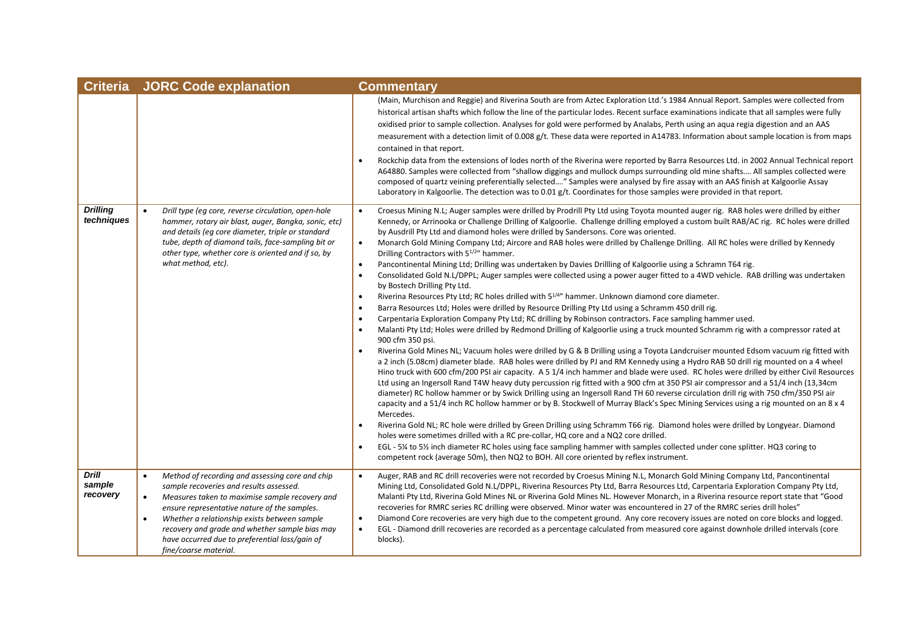| <b>Criteria</b>                    | <b>JORC Code explanation</b>                                                                                                                                                                                                                                                                                                                                                                                     | <b>Commentary</b>                                                                                                                                                                                                                                                                                                                                                                                                                                                                                                                                                                                                                                                                                                                                                                                                                                                                                                                                                                                                                                                                                                                                                                                                                                                                                                                                                                                                                                                                                                                                                                                                                                                                                                                                                                                                                                                                                                                                                                                                                                                                                                                                                                                                                                                                                                                                                                                                                                                                                                                                                                                                                                                                                                                                                  |
|------------------------------------|------------------------------------------------------------------------------------------------------------------------------------------------------------------------------------------------------------------------------------------------------------------------------------------------------------------------------------------------------------------------------------------------------------------|--------------------------------------------------------------------------------------------------------------------------------------------------------------------------------------------------------------------------------------------------------------------------------------------------------------------------------------------------------------------------------------------------------------------------------------------------------------------------------------------------------------------------------------------------------------------------------------------------------------------------------------------------------------------------------------------------------------------------------------------------------------------------------------------------------------------------------------------------------------------------------------------------------------------------------------------------------------------------------------------------------------------------------------------------------------------------------------------------------------------------------------------------------------------------------------------------------------------------------------------------------------------------------------------------------------------------------------------------------------------------------------------------------------------------------------------------------------------------------------------------------------------------------------------------------------------------------------------------------------------------------------------------------------------------------------------------------------------------------------------------------------------------------------------------------------------------------------------------------------------------------------------------------------------------------------------------------------------------------------------------------------------------------------------------------------------------------------------------------------------------------------------------------------------------------------------------------------------------------------------------------------------------------------------------------------------------------------------------------------------------------------------------------------------------------------------------------------------------------------------------------------------------------------------------------------------------------------------------------------------------------------------------------------------------------------------------------------------------------------------------------------------|
|                                    |                                                                                                                                                                                                                                                                                                                                                                                                                  | (Main, Murchison and Reggie) and Riverina South are from Aztec Exploration Ltd.'s 1984 Annual Report. Samples were collected from<br>historical artisan shafts which follow the line of the particular lodes. Recent surface examinations indicate that all samples were fully<br>oxidised prior to sample collection. Analyses for gold were performed by Analabs, Perth using an aqua regia digestion and an AAS<br>measurement with a detection limit of 0.008 g/t. These data were reported in A14783. Information about sample location is from maps<br>contained in that report.<br>Rockchip data from the extensions of lodes north of the Riverina were reported by Barra Resources Ltd. in 2002 Annual Technical report<br>$\bullet$<br>A64880. Samples were collected from "shallow diggings and mullock dumps surrounding old mine shafts All samples collected were<br>composed of quartz veining preferentially selected" Samples were analysed by fire assay with an AAS finish at Kalgoorlie Assay<br>Laboratory in Kalgoorlie. The detection was to 0.01 g/t. Coordinates for those samples were provided in that report.                                                                                                                                                                                                                                                                                                                                                                                                                                                                                                                                                                                                                                                                                                                                                                                                                                                                                                                                                                                                                                                                                                                                                                                                                                                                                                                                                                                                                                                                                                                                                                                                                          |
| <b>Drilling</b><br>techniques      | Drill type (eq core, reverse circulation, open-hole<br>hammer, rotary air blast, auger, Bangka, sonic, etc)<br>and details (eq core diameter, triple or standard<br>tube, depth of diamond tails, face-sampling bit or<br>other type, whether core is oriented and if so, by<br>what method, etc).                                                                                                               | Croesus Mining N.L; Auger samples were drilled by Prodrill Pty Ltd using Toyota mounted auger rig. RAB holes were drilled by either<br>$\bullet$<br>Kennedy, or Arrinooka or Challenge Drilling of Kalgoorlie. Challenge drilling employed a custom built RAB/AC rig. RC holes were drilled<br>by Ausdrill Pty Ltd and diamond holes were drilled by Sandersons. Core was oriented.<br>Monarch Gold Mining Company Ltd; Aircore and RAB holes were drilled by Challenge Drilling. All RC holes were drilled by Kennedy<br>$\bullet$<br>Drilling Contractors with 5 <sup>1/2</sup> " hammer.<br>Pancontinental Mining Ltd; Drilling was undertaken by Davies Drilling of Kalgoorlie using a Schramn T64 rig.<br>$\bullet$<br>Consolidated Gold N.L/DPPL; Auger samples were collected using a power auger fitted to a 4WD vehicle. RAB drilling was undertaken<br>$\bullet$<br>by Bostech Drilling Pty Ltd.<br>Riverina Resources Pty Ltd; RC holes drilled with 5 <sup>1/4"</sup> hammer. Unknown diamond core diameter.<br>$\bullet$<br>Barra Resources Ltd; Holes were drilled by Resource Drilling Pty Ltd using a Schramm 450 drill rig.<br>Carpentaria Exploration Company Pty Ltd; RC drilling by Robinson contractors. Face sampling hammer used.<br>Malanti Pty Ltd; Holes were drilled by Redmond Drilling of Kalgoorlie using a truck mounted Schramm rig with a compressor rated at<br>$\bullet$<br>900 cfm 350 psi.<br>Riverina Gold Mines NL; Vacuum holes were drilled by G & B Drilling using a Toyota Landcruiser mounted Edsom vacuum rig fitted with<br>a 2 inch (5.08cm) diameter blade. RAB holes were drilled by PJ and RM Kennedy using a Hydro RAB 50 drill rig mounted on a 4 wheel<br>Hino truck with 600 cfm/200 PSI air capacity. A 5 1/4 inch hammer and blade were used. RC holes were drilled by either Civil Resources<br>Ltd using an Ingersoll Rand T4W heavy duty percussion rig fitted with a 900 cfm at 350 PSI air compressor and a 51/4 inch (13,34cm<br>diameter) RC hollow hammer or by Swick Drilling using an Ingersoll Rand TH 60 reverse circulation drill rig with 750 cfm/350 PSI air<br>capacity and a 51/4 inch RC hollow hammer or by B. Stockwell of Murray Black's Spec Mining Services using a rig mounted on an 8 x 4<br>Mercedes.<br>Riverina Gold NL; RC hole were drilled by Green Drilling using Schramm T66 rig. Diamond holes were drilled by Longyear. Diamond<br>$\bullet$<br>holes were sometimes drilled with a RC pre-collar, HQ core and a NQ2 core drilled.<br>EGL - 5¼ to 5½ inch diameter RC holes using face sampling hammer with samples collected under cone splitter. HQ3 coring to<br>$\bullet$<br>competent rock (average 50m), then NQ2 to BOH. All core oriented by reflex instrument. |
| <b>Drill</b><br>sample<br>recovery | Method of recording and assessing core and chip<br>$\bullet$<br>sample recoveries and results assessed.<br>Measures taken to maximise sample recovery and<br>$\bullet$<br>ensure representative nature of the samples.<br>Whether a relationship exists between sample<br>$\bullet$<br>recovery and grade and whether sample bias may<br>have occurred due to preferential loss/gain of<br>fine/coarse material. | Auger, RAB and RC drill recoveries were not recorded by Croesus Mining N.L, Monarch Gold Mining Company Ltd, Pancontinental<br>$\bullet$<br>Mining Ltd, Consolidated Gold N.L/DPPL, Riverina Resources Pty Ltd, Barra Resources Ltd, Carpentaria Exploration Company Pty Ltd,<br>Malanti Pty Ltd, Riverina Gold Mines NL or Riverina Gold Mines NL. However Monarch, in a Riverina resource report state that "Good<br>recoveries for RMRC series RC drilling were observed. Minor water was encountered in 27 of the RMRC series drill holes"<br>Diamond Core recoveries are very high due to the competent ground. Any core recovery issues are noted on core blocks and logged.<br>$\bullet$<br>EGL - Diamond drill recoveries are recorded as a percentage calculated from measured core against downhole drilled intervals (core<br>$\bullet$<br>blocks).                                                                                                                                                                                                                                                                                                                                                                                                                                                                                                                                                                                                                                                                                                                                                                                                                                                                                                                                                                                                                                                                                                                                                                                                                                                                                                                                                                                                                                                                                                                                                                                                                                                                                                                                                                                                                                                                                                     |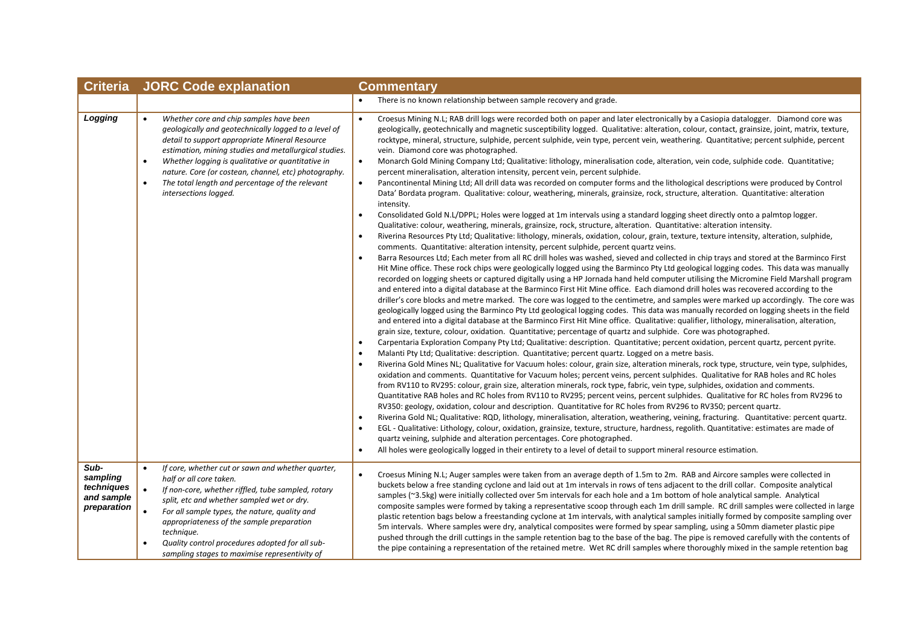| <b>Criteria</b>                                             | <b>JORC Code explanation</b>                                                                                                                                                                                                                                                                                                                                                                                                  | Commentary                                                                                                                                                                                                                                                                                                                                                                                                                                                                                                                                                                                                                                                                                                                                                                                                                                                                                                                                                                                                                                                                                                                                                                                                                                                                                                                                                                                                                                                                                                                                                                                                                                                                                                                                                                                                                                                                                                                                                                                                                                                                                                                                                                                                                                                                                                                                                                                                                                                                                                                                                                                                                                                                                                                                                                                                                                                                                                                                                                                                                                                                                                                                                                                                                                                                                                                                                                                                                                                                                                                                                                                                                                                                                                                                                                                                                                                                                                                                                                                                                                                                                                                                                      |  |
|-------------------------------------------------------------|-------------------------------------------------------------------------------------------------------------------------------------------------------------------------------------------------------------------------------------------------------------------------------------------------------------------------------------------------------------------------------------------------------------------------------|-----------------------------------------------------------------------------------------------------------------------------------------------------------------------------------------------------------------------------------------------------------------------------------------------------------------------------------------------------------------------------------------------------------------------------------------------------------------------------------------------------------------------------------------------------------------------------------------------------------------------------------------------------------------------------------------------------------------------------------------------------------------------------------------------------------------------------------------------------------------------------------------------------------------------------------------------------------------------------------------------------------------------------------------------------------------------------------------------------------------------------------------------------------------------------------------------------------------------------------------------------------------------------------------------------------------------------------------------------------------------------------------------------------------------------------------------------------------------------------------------------------------------------------------------------------------------------------------------------------------------------------------------------------------------------------------------------------------------------------------------------------------------------------------------------------------------------------------------------------------------------------------------------------------------------------------------------------------------------------------------------------------------------------------------------------------------------------------------------------------------------------------------------------------------------------------------------------------------------------------------------------------------------------------------------------------------------------------------------------------------------------------------------------------------------------------------------------------------------------------------------------------------------------------------------------------------------------------------------------------------------------------------------------------------------------------------------------------------------------------------------------------------------------------------------------------------------------------------------------------------------------------------------------------------------------------------------------------------------------------------------------------------------------------------------------------------------------------------------------------------------------------------------------------------------------------------------------------------------------------------------------------------------------------------------------------------------------------------------------------------------------------------------------------------------------------------------------------------------------------------------------------------------------------------------------------------------------------------------------------------------------------------------------------------------------------------------------------------------------------------------------------------------------------------------------------------------------------------------------------------------------------------------------------------------------------------------------------------------------------------------------------------------------------------------------------------------------------------------------------------------------------------------------------|--|
|                                                             |                                                                                                                                                                                                                                                                                                                                                                                                                               | There is no known relationship between sample recovery and grade.                                                                                                                                                                                                                                                                                                                                                                                                                                                                                                                                                                                                                                                                                                                                                                                                                                                                                                                                                                                                                                                                                                                                                                                                                                                                                                                                                                                                                                                                                                                                                                                                                                                                                                                                                                                                                                                                                                                                                                                                                                                                                                                                                                                                                                                                                                                                                                                                                                                                                                                                                                                                                                                                                                                                                                                                                                                                                                                                                                                                                                                                                                                                                                                                                                                                                                                                                                                                                                                                                                                                                                                                                                                                                                                                                                                                                                                                                                                                                                                                                                                                                               |  |
| Logging                                                     | Whether core and chip samples have been<br>$\bullet$<br>geologically and geotechnically logged to a level of<br>detail to support appropriate Mineral Resource<br>estimation, mining studies and metallurgical studies.<br>Whether logging is qualitative or quantitative in<br>$\bullet$<br>nature. Core (or costean, channel, etc) photography.<br>The total length and percentage of the relevant<br>intersections logged. | Croesus Mining N.L; RAB drill logs were recorded both on paper and later electronically by a Casiopia datalogger. Diamond core was<br>$\bullet$<br>geologically, geotechnically and magnetic susceptibility logged. Qualitative: alteration, colour, contact, grainsize, joint, matrix, texture,<br>rocktype, mineral, structure, sulphide, percent sulphide, vein type, percent vein, weathering. Quantitative; percent sulphide, percent<br>vein. Diamond core was photographed.<br>$\bullet$<br>Monarch Gold Mining Company Ltd; Qualitative: lithology, mineralisation code, alteration, vein code, sulphide code. Quantitative;<br>percent mineralisation, alteration intensity, percent vein, percent sulphide.<br>Pancontinental Mining Ltd; All drill data was recorded on computer forms and the lithological descriptions were produced by Control<br>$\bullet$<br>Data' Bordata program. Qualitative: colour, weathering, minerals, grainsize, rock, structure, alteration. Quantitative: alteration<br>intensity.<br>Consolidated Gold N.L/DPPL; Holes were logged at 1m intervals using a standard logging sheet directly onto a palmtop logger.<br>$\bullet$<br>Qualitative: colour, weathering, minerals, grainsize, rock, structure, alteration. Quantitative: alteration intensity.<br>Riverina Resources Pty Ltd; Qualitative: lithology, minerals, oxidation, colour, grain, texture, texture intensity, alteration, sulphide,<br>$\bullet$<br>comments. Quantitative: alteration intensity, percent sulphide, percent quartz veins.<br>Barra Resources Ltd; Each meter from all RC drill holes was washed, sieved and collected in chip trays and stored at the Barminco First<br>Hit Mine office. These rock chips were geologically logged using the Barminco Pty Ltd geological logging codes. This data was manually<br>recorded on logging sheets or captured digitally using a HP Jornada hand held computer utilising the Micromine Field Marshall program<br>and entered into a digital database at the Barminco First Hit Mine office. Each diamond drill holes was recovered according to the<br>driller's core blocks and metre marked. The core was logged to the centimetre, and samples were marked up accordingly. The core was<br>geologically logged using the Barminco Pty Ltd geological logging codes. This data was manually recorded on logging sheets in the field<br>and entered into a digital database at the Barminco First Hit Mine office. Qualitative: qualifier, lithology, mineralisation, alteration,<br>grain size, texture, colour, oxidation. Quantitative; percentage of quartz and sulphide. Core was photographed.<br>Carpentaria Exploration Company Pty Ltd; Qualitative: description. Quantitative; percent oxidation, percent quartz, percent pyrite.<br>$\bullet$<br>Malanti Pty Ltd; Qualitative: description. Quantitative; percent quartz. Logged on a metre basis.<br>$\bullet$<br>Riverina Gold Mines NL; Qualitative for Vacuum holes: colour, grain size, alteration minerals, rock type, structure, vein type, sulphides,<br>oxidation and comments. Quantitative for Vacuum holes; percent veins, percent sulphides. Qualitative for RAB holes and RC holes<br>from RV110 to RV295: colour, grain size, alteration minerals, rock type, fabric, vein type, sulphides, oxidation and comments.<br>Quantitative RAB holes and RC holes from RV110 to RV295; percent veins, percent sulphides. Qualitative for RC holes from RV296 to<br>RV350: geology, oxidation, colour and description. Quantitative for RC holes from RV296 to RV350; percent quartz.<br>Riverina Gold NL; Qualitative: RQD, lithology, mineralisation, alteration, weathering, veining, fracturing. Quantitative: percent quartz.<br>$\bullet$<br>EGL - Qualitative: Lithology, colour, oxidation, grainsize, texture, structure, hardness, regolith. Quantitative: estimates are made of<br>$\bullet$<br>quartz veining, sulphide and alteration percentages. Core photographed.<br>All holes were geologically logged in their entirety to a level of detail to support mineral resource estimation.<br>$\bullet$ |  |
| Sub-<br>sampling<br>techniques<br>and sample<br>preparation | If core, whether cut or sawn and whether quarter,<br>$\bullet$<br>half or all core taken.<br>If non-core, whether riffled, tube sampled, rotary<br>split, etc and whether sampled wet or dry.<br>For all sample types, the nature, quality and<br>appropriateness of the sample preparation<br>technique.<br>Quality control procedures adopted for all sub-<br>sampling stages to maximise representivity of                 | Croesus Mining N.L; Auger samples were taken from an average depth of 1.5m to 2m. RAB and Aircore samples were collected in<br>$\bullet$<br>buckets below a free standing cyclone and laid out at 1m intervals in rows of tens adjacent to the drill collar. Composite analytical<br>samples (~3.5kg) were initially collected over 5m intervals for each hole and a 1m bottom of hole analytical sample. Analytical<br>composite samples were formed by taking a representative scoop through each 1m drill sample. RC drill samples were collected in large<br>plastic retention bags below a freestanding cyclone at 1m intervals, with analytical samples initially formed by composite sampling over<br>5m intervals. Where samples were dry, analytical composites were formed by spear sampling, using a 50mm diameter plastic pipe<br>pushed through the drill cuttings in the sample retention bag to the base of the bag. The pipe is removed carefully with the contents of<br>the pipe containing a representation of the retained metre. Wet RC drill samples where thoroughly mixed in the sample retention bag                                                                                                                                                                                                                                                                                                                                                                                                                                                                                                                                                                                                                                                                                                                                                                                                                                                                                                                                                                                                                                                                                                                                                                                                                                                                                                                                                                                                                                                                                                                                                                                                                                                                                                                                                                                                                                                                                                                                                                                                                                                                                                                                                                                                                                                                                                                                                                                                                                                                                                                                                                                                                                                                                                                                                                                                                                                                                                                                                                                                                                   |  |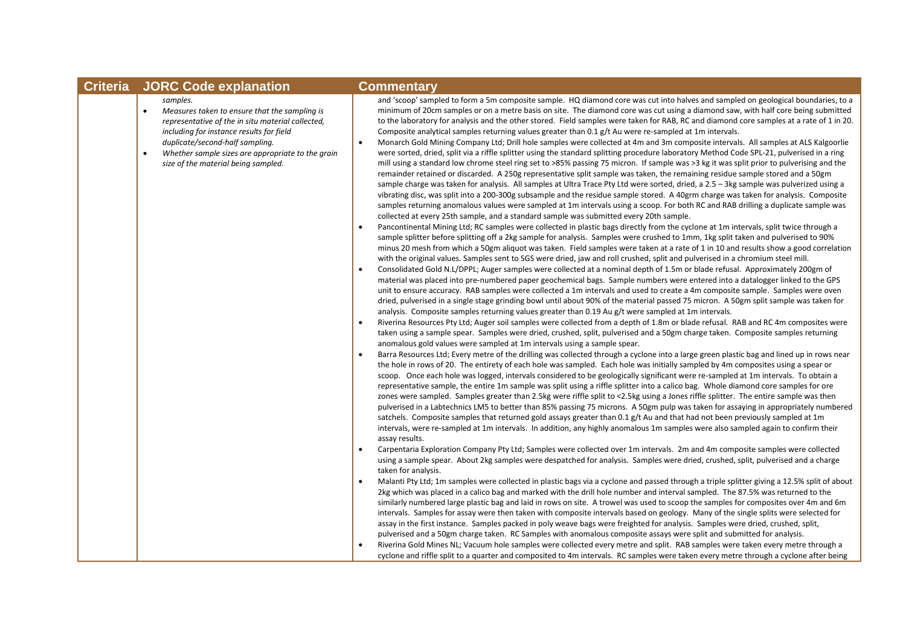| <b>Criteria</b> | <b>JORC Code explanation</b>                                                                                                                                                                                                                                                                                        | <b>Commentary</b>                                                                                                                                                                                                                                                                                                                                                                                                                                                                                                                                                                                                                                                                                                                                                                                                                                                                                                                                                                                                                                                                                                                                                                                                                                                                                                                                                                                                                                                                                                                                                                                                                                                                                                                                                                                                                                                                                                                                                                                                                                                                                                                                                                                                                                                                                                                                                                                                                                                                                                                                                                                                                                                                                                                                                                                                                                                                                                                                                                                                                                                                                                                                                                                                                                                                                                                                                                                                                                                                                                                                                                                                                                                                                                                                                                                                                                                                                                                                                                                                                                                                                                                                                                                                                                                                                                                                                                                                                                                                                                                                                                                                                                                                                                                                                                                                                                                                                                                                                                                                                                                                                                                                                                                                                                                                                                                                                                                                                                                                  |
|-----------------|---------------------------------------------------------------------------------------------------------------------------------------------------------------------------------------------------------------------------------------------------------------------------------------------------------------------|------------------------------------------------------------------------------------------------------------------------------------------------------------------------------------------------------------------------------------------------------------------------------------------------------------------------------------------------------------------------------------------------------------------------------------------------------------------------------------------------------------------------------------------------------------------------------------------------------------------------------------------------------------------------------------------------------------------------------------------------------------------------------------------------------------------------------------------------------------------------------------------------------------------------------------------------------------------------------------------------------------------------------------------------------------------------------------------------------------------------------------------------------------------------------------------------------------------------------------------------------------------------------------------------------------------------------------------------------------------------------------------------------------------------------------------------------------------------------------------------------------------------------------------------------------------------------------------------------------------------------------------------------------------------------------------------------------------------------------------------------------------------------------------------------------------------------------------------------------------------------------------------------------------------------------------------------------------------------------------------------------------------------------------------------------------------------------------------------------------------------------------------------------------------------------------------------------------------------------------------------------------------------------------------------------------------------------------------------------------------------------------------------------------------------------------------------------------------------------------------------------------------------------------------------------------------------------------------------------------------------------------------------------------------------------------------------------------------------------------------------------------------------------------------------------------------------------------------------------------------------------------------------------------------------------------------------------------------------------------------------------------------------------------------------------------------------------------------------------------------------------------------------------------------------------------------------------------------------------------------------------------------------------------------------------------------------------------------------------------------------------------------------------------------------------------------------------------------------------------------------------------------------------------------------------------------------------------------------------------------------------------------------------------------------------------------------------------------------------------------------------------------------------------------------------------------------------------------------------------------------------------------------------------------------------------------------------------------------------------------------------------------------------------------------------------------------------------------------------------------------------------------------------------------------------------------------------------------------------------------------------------------------------------------------------------------------------------------------------------------------------------------------------------------------------------------------------------------------------------------------------------------------------------------------------------------------------------------------------------------------------------------------------------------------------------------------------------------------------------------------------------------------------------------------------------------------------------------------------------------------------------------------------------------------------------------------------------------------------------------------------------------------------------------------------------------------------------------------------------------------------------------------------------------------------------------------------------------------------------------------------------------------------------------------------------------------------------------------------------------------------------------------------------------------------------------------------------------------------|
|                 | samples.<br>Measures taken to ensure that the sampling is<br>$\bullet$<br>representative of the in situ material collected,<br>including for instance results for field<br>duplicate/second-half sampling.<br>Whether sample sizes are appropriate to the grain<br>$\bullet$<br>size of the material being sampled. | and 'scoop' sampled to form a 5m composite sample. HQ diamond core was cut into halves and sampled on geological boundaries, to a<br>minimum of 20cm samples or on a metre basis on site. The diamond core was cut using a diamond saw, with half core being submitted<br>to the laboratory for analysis and the other stored. Field samples were taken for RAB, RC and diamond core samples at a rate of 1 in 20.<br>Composite analytical samples returning values greater than 0.1 g/t Au were re-sampled at 1m intervals.<br>Monarch Gold Mining Company Ltd; Drill hole samples were collected at 4m and 3m composite intervals. All samples at ALS Kalgoorlie<br>$\bullet$<br>were sorted, dried, split via a riffle splitter using the standard splitting procedure laboratory Method Code SPL-21, pulverised in a ring<br>mill using a standard low chrome steel ring set to >85% passing 75 micron. If sample was >3 kg it was split prior to pulverising and the<br>remainder retained or discarded. A 250g representative split sample was taken, the remaining residue sample stored and a 50gm<br>sample charge was taken for analysis. All samples at Ultra Trace Pty Ltd were sorted, dried, a 2.5 - 3kg sample was pulverized using a<br>vibrating disc, was split into a 200-300g subsample and the residue sample stored. A 40grm charge was taken for analysis. Composite<br>samples returning anomalous values were sampled at 1m intervals using a scoop. For both RC and RAB drilling a duplicate sample was<br>collected at every 25th sample, and a standard sample was submitted every 20th sample.<br>Pancontinental Mining Ltd; RC samples were collected in plastic bags directly from the cyclone at 1m intervals, split twice through a<br>sample splitter before splitting off a 2kg sample for analysis. Samples were crushed to 1mm, 1kg split taken and pulverised to 90%<br>minus 20 mesh from which a 50gm aliquot was taken. Field samples were taken at a rate of 1 in 10 and results show a good correlation<br>with the original values. Samples sent to SGS were dried, jaw and roll crushed, split and pulverised in a chromium steel mill.<br>Consolidated Gold N.L/DPPL; Auger samples were collected at a nominal depth of 1.5m or blade refusal. Approximately 200gm of<br>material was placed into pre-numbered paper geochemical bags. Sample numbers were entered into a datalogger linked to the GPS<br>unit to ensure accuracy. RAB samples were collected a 1m intervals and used to create a 4m composite sample. Samples were oven<br>dried, pulverised in a single stage grinding bowl until about 90% of the material passed 75 micron. A 50gm split sample was taken for<br>analysis. Composite samples returning values greater than 0.19 Au g/t were sampled at 1m intervals.<br>Riverina Resources Pty Ltd; Auger soil samples were collected from a depth of 1.8m or blade refusal. RAB and RC 4m composites were<br>$\bullet$<br>taken using a sample spear. Samples were dried, crushed, split, pulverised and a 50gm charge taken. Composite samples returning<br>anomalous gold values were sampled at 1m intervals using a sample spear.<br>Barra Resources Ltd; Every metre of the drilling was collected through a cyclone into a large green plastic bag and lined up in rows near<br>$\bullet$<br>the hole in rows of 20. The entirety of each hole was sampled. Each hole was initially sampled by 4m composites using a spear or<br>scoop. Once each hole was logged, intervals considered to be geologically significant were re-sampled at 1m intervals. To obtain a<br>representative sample, the entire 1m sample was split using a riffle splitter into a calico bag. Whole diamond core samples for ore<br>zones were sampled. Samples greater than 2.5kg were riffle split to <2.5kg using a Jones riffle splitter. The entire sample was then<br>pulverised in a Labtechnics LM5 to better than 85% passing 75 microns. A 50gm pulp was taken for assaying in appropriately numbered<br>satchels. Composite samples that returned gold assays greater than 0.1 g/t Au and that had not been previously sampled at 1m<br>intervals, were re-sampled at 1m intervals. In addition, any highly anomalous 1m samples were also sampled again to confirm their<br>assay results.<br>Carpentaria Exploration Company Pty Ltd; Samples were collected over 1m intervals. 2m and 4m composite samples were collected<br>using a sample spear. About 2kg samples were despatched for analysis. Samples were dried, crushed, split, pulverised and a charge<br>taken for analysis.<br>Malanti Pty Ltd; 1m samples were collected in plastic bags via a cyclone and passed through a triple splitter giving a 12.5% split of about<br>2kg which was placed in a calico bag and marked with the drill hole number and interval sampled. The 87.5% was returned to the<br>similarly numbered large plastic bag and laid in rows on site. A trowel was used to scoop the samples for composites over 4m and 6m<br>intervals. Samples for assay were then taken with composite intervals based on geology. Many of the single splits were selected for<br>assay in the first instance. Samples packed in poly weave bags were freighted for analysis. Samples were dried, crushed, split,<br>pulverised and a 50gm charge taken. RC Samples with anomalous composite assays were split and submitted for analysis. |
|                 |                                                                                                                                                                                                                                                                                                                     | Riverina Gold Mines NL; Vacuum hole samples were collected every metre and split. RAB samples were taken every metre through a<br>cyclone and riffle split to a quarter and composited to 4m intervals. RC samples were taken every metre through a cyclone after being                                                                                                                                                                                                                                                                                                                                                                                                                                                                                                                                                                                                                                                                                                                                                                                                                                                                                                                                                                                                                                                                                                                                                                                                                                                                                                                                                                                                                                                                                                                                                                                                                                                                                                                                                                                                                                                                                                                                                                                                                                                                                                                                                                                                                                                                                                                                                                                                                                                                                                                                                                                                                                                                                                                                                                                                                                                                                                                                                                                                                                                                                                                                                                                                                                                                                                                                                                                                                                                                                                                                                                                                                                                                                                                                                                                                                                                                                                                                                                                                                                                                                                                                                                                                                                                                                                                                                                                                                                                                                                                                                                                                                                                                                                                                                                                                                                                                                                                                                                                                                                                                                                                                                                                                            |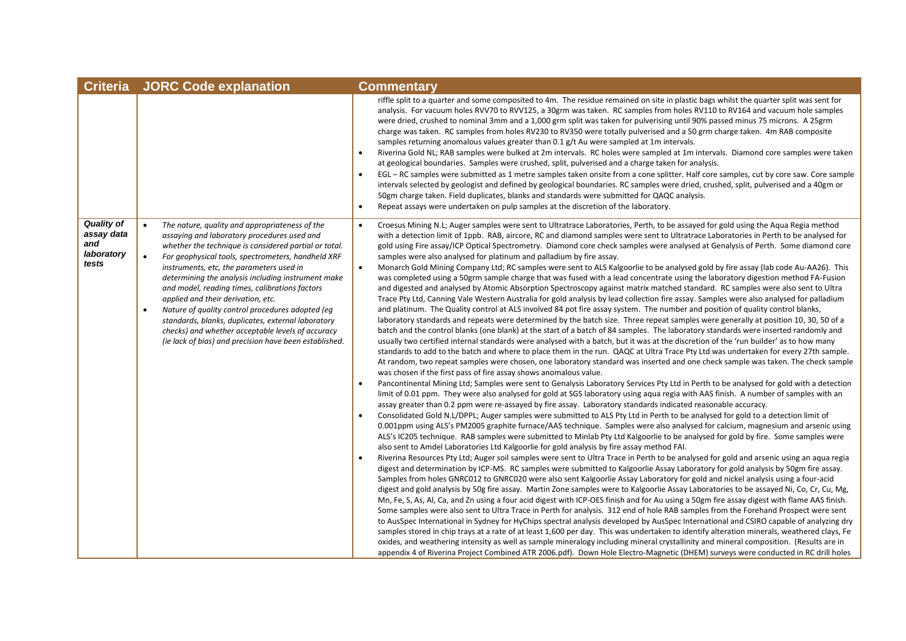| <b>Criteria</b>                                               | <b>JORC Code explanation</b>                                                                                                                                                                                                                                                                                                                                                                                                                                                                                                                                                                                                                                           | <b>Commentary</b>                                                                                                                                                                                                                                                                                                                                                                                                                                                                                                                                                                                                                                                                                                                                                                                                                                                                                                                                                                                                                                                                                                                                                                                                                                                                                                                                                                                                                                                                                                                                                                                                                                                                                                                                                                                                                                                                                                                                                                                                                                                                                                                                                                                                                                                                                                                                                                                                                                                                                                                                                                                                                                                                                                                                                                                                                                                                                                                                                                                                                                                                                                                                                                                                                                                                                                                                                                                                                                                                                                                                                                                                                                                                                                                                                                                                                                                                                                                                                                                                                                                                                                                                                                                                                                                                                                           |
|---------------------------------------------------------------|------------------------------------------------------------------------------------------------------------------------------------------------------------------------------------------------------------------------------------------------------------------------------------------------------------------------------------------------------------------------------------------------------------------------------------------------------------------------------------------------------------------------------------------------------------------------------------------------------------------------------------------------------------------------|-----------------------------------------------------------------------------------------------------------------------------------------------------------------------------------------------------------------------------------------------------------------------------------------------------------------------------------------------------------------------------------------------------------------------------------------------------------------------------------------------------------------------------------------------------------------------------------------------------------------------------------------------------------------------------------------------------------------------------------------------------------------------------------------------------------------------------------------------------------------------------------------------------------------------------------------------------------------------------------------------------------------------------------------------------------------------------------------------------------------------------------------------------------------------------------------------------------------------------------------------------------------------------------------------------------------------------------------------------------------------------------------------------------------------------------------------------------------------------------------------------------------------------------------------------------------------------------------------------------------------------------------------------------------------------------------------------------------------------------------------------------------------------------------------------------------------------------------------------------------------------------------------------------------------------------------------------------------------------------------------------------------------------------------------------------------------------------------------------------------------------------------------------------------------------------------------------------------------------------------------------------------------------------------------------------------------------------------------------------------------------------------------------------------------------------------------------------------------------------------------------------------------------------------------------------------------------------------------------------------------------------------------------------------------------------------------------------------------------------------------------------------------------------------------------------------------------------------------------------------------------------------------------------------------------------------------------------------------------------------------------------------------------------------------------------------------------------------------------------------------------------------------------------------------------------------------------------------------------------------------------------------------------------------------------------------------------------------------------------------------------------------------------------------------------------------------------------------------------------------------------------------------------------------------------------------------------------------------------------------------------------------------------------------------------------------------------------------------------------------------------------------------------------------------------------------------------------------------------------------------------------------------------------------------------------------------------------------------------------------------------------------------------------------------------------------------------------------------------------------------------------------------------------------------------------------------------------------------------------------------------------------------------------------------------------------------------|
|                                                               |                                                                                                                                                                                                                                                                                                                                                                                                                                                                                                                                                                                                                                                                        | riffle split to a quarter and some composited to 4m. The residue remained on site in plastic bags whilst the quarter split was sent for<br>analysis. For vacuum holes RVV70 to RVV125, a 30grm was taken. RC samples from holes RV110 to RV164 and vacuum hole samples<br>were dried, crushed to nominal 3mm and a 1,000 grm split was taken for pulverising until 90% passed minus 75 microns. A 25grm<br>charge was taken. RC samples from holes RV230 to RV350 were totally pulverised and a 50 grm charge taken. 4m RAB composite<br>samples returning anomalous values greater than 0.1 g/t Au were sampled at 1m intervals.<br>Riverina Gold NL; RAB samples were bulked at 2m intervals. RC holes were sampled at 1m intervals. Diamond core samples were taken<br>at geological boundaries. Samples were crushed, split, pulverised and a charge taken for analysis.<br>EGL – RC samples were submitted as 1 metre samples taken onsite from a cone splitter. Half core samples, cut by core saw. Core sample<br>intervals selected by geologist and defined by geological boundaries. RC samples were dried, crushed, split, pulverised and a 40gm or<br>50gm charge taken. Field duplicates, blanks and standards were submitted for QAQC analysis.<br>Repeat assays were undertaken on pulp samples at the discretion of the laboratory.<br>$\bullet$                                                                                                                                                                                                                                                                                                                                                                                                                                                                                                                                                                                                                                                                                                                                                                                                                                                                                                                                                                                                                                                                                                                                                                                                                                                                                                                                                                                                                                                                                                                                                                                                                                                                                                                                                                                                                                                                                                                                                                                                                                                                                                                                                                                                                                                                                                                                                                                                                                                                                                                                                                                                                                                                                                                                                                                                                                                                                                                                                            |
| <b>Quality of</b><br>assay data<br>and<br>laboratory<br>tests | The nature, quality and appropriateness of the<br>$\bullet$<br>assaying and laboratory procedures used and<br>whether the technique is considered partial or total.<br>For geophysical tools, spectrometers, handheld XRF<br>$\bullet$<br>instruments, etc, the parameters used in<br>determining the analysis including instrument make<br>and model, reading times, calibrations factors<br>applied and their derivation, etc.<br>Nature of quality control procedures adopted (eq<br>$\bullet$<br>standards, blanks, duplicates, external laboratory<br>checks) and whether acceptable levels of accuracy<br>(ie lack of bias) and precision have been established. | Croesus Mining N.L; Auger samples were sent to Ultratrace Laboratories, Perth, to be assayed for gold using the Aqua Regia method<br>$\bullet$<br>with a detection limit of 1ppb. RAB, aircore, RC and diamond samples were sent to Ultratrace Laboratories in Perth to be analysed for<br>gold using Fire assay/ICP Optical Spectrometry. Diamond core check samples were analysed at Genalysis of Perth. Some diamond core<br>samples were also analysed for platinum and palladium by fire assay.<br>Monarch Gold Mining Company Ltd; RC samples were sent to ALS Kalgoorlie to be analysed gold by fire assay (lab code Au-AA26). This<br>$\bullet$<br>was completed using a 50grm sample charge that was fused with a lead concentrate using the laboratory digestion method FA-Fusion<br>and digested and analysed by Atomic Absorption Spectroscopy against matrix matched standard. RC samples were also sent to Ultra<br>Trace Pty Ltd, Canning Vale Western Australia for gold analysis by lead collection fire assay. Samples were also analysed for palladium<br>and platinum. The Quality control at ALS involved 84 pot fire assay system. The number and position of quality control blanks,<br>laboratory standards and repeats were determined by the batch size. Three repeat samples were generally at position 10, 30, 50 of a<br>batch and the control blanks (one blank) at the start of a batch of 84 samples. The laboratory standards were inserted randomly and<br>usually two certified internal standards were analysed with a batch, but it was at the discretion of the 'run builder' as to how many<br>standards to add to the batch and where to place them in the run. QAQC at Ultra Trace Pty Ltd was undertaken for every 27th sample.<br>At random, two repeat samples were chosen, one laboratory standard was inserted and one check sample was taken. The check sample<br>was chosen if the first pass of fire assay shows anomalous value.<br>Pancontinental Mining Ltd; Samples were sent to Genalysis Laboratory Services Pty Ltd in Perth to be analysed for gold with a detection<br>limit of 0.01 ppm. They were also analysed for gold at SGS laboratory using aqua regia with AAS finish. A number of samples with an<br>assay greater than 0.2 ppm were re-assayed by fire assay. Laboratory standards indicated reasonable accuracy.<br>Consolidated Gold N.L/DPPL; Auger samples were submitted to ALS Pty Ltd in Perth to be analysed for gold to a detection limit of<br>0.001ppm using ALS's PM2005 graphite furnace/AAS technique. Samples were also analysed for calcium, magnesium and arsenic using<br>ALS's IC205 technique. RAB samples were submitted to Minlab Pty Ltd Kalgoorlie to be analysed for gold by fire. Some samples were<br>also sent to Amdel Laboratories Ltd Kalgoorlie for gold analysis by fire assay method FAI.<br>Riverina Resources Pty Ltd; Auger soil samples were sent to Ultra Trace in Perth to be analysed for gold and arsenic using an aqua regia<br>digest and determination by ICP-MS. RC samples were submitted to Kalgoorlie Assay Laboratory for gold analysis by 50gm fire assay.<br>Samples from holes GNRC012 to GNRC020 were also sent Kalgoorlie Assay Laboratory for gold and nickel analysis using a four-acid<br>digest and gold analysis by 50g fire assay. Martin Zone samples were to Kalgoorlie Assay Laboratories to be assayed Ni, Co, Cr, Cu, Mg,<br>Mn, Fe, S, As, Al, Ca, and Zn using a four acid digest with ICP-OES finish and for Au using a 50gm fire assay digest with flame AAS finish.<br>Some samples were also sent to Ultra Trace in Perth for analysis. 312 end of hole RAB samples from the Forehand Prospect were sent<br>to AusSpec International in Sydney for HyChips spectral analysis developed by AusSpec International and CSIRO capable of analyzing dry<br>samples stored in chip trays at a rate of at least 1,600 per day. This was undertaken to identify alteration minerals, weathered clays, Fe<br>oxides, and weathering intensity as well as sample mineralogy including mineral crystallinity and mineral composition. (Results are in<br>appendix 4 of Riverina Project Combined ATR 2006.pdf). Down Hole Electro-Magnetic (DHEM) surveys were conducted in RC drill holes |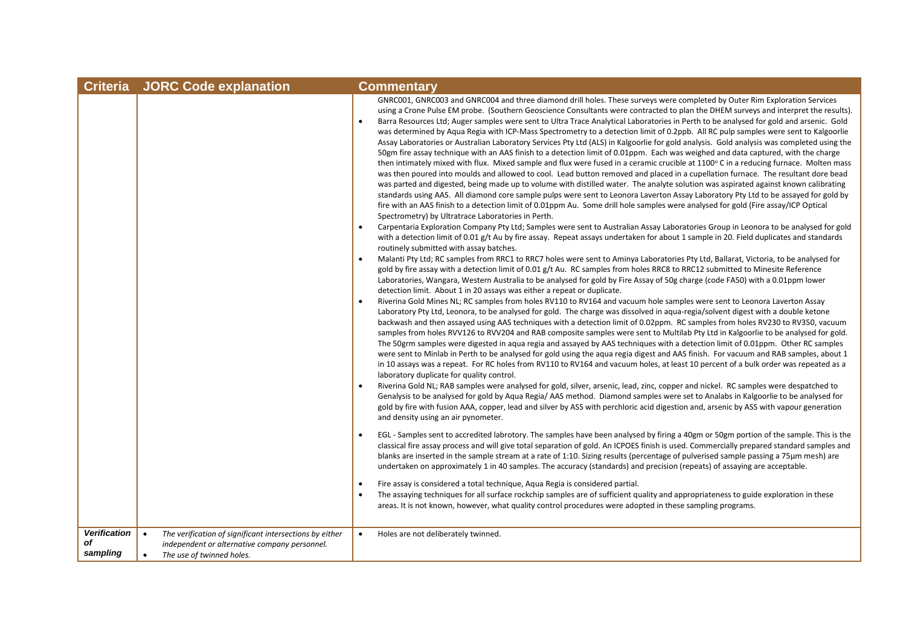| <b>Criteria</b>                       | <b>JORC Code explanation</b>                                                                                                                                    | <b>Commentary</b>                                                                                                                                                                                                                                                                                                                                                                                                                                                                                                                                                                                                                                                                                                                                                                                                                                                                                                                                                                                                                                                                                                                                                                                                                                                                                                                                                                                                                                                                                                                                                                           |
|---------------------------------------|-----------------------------------------------------------------------------------------------------------------------------------------------------------------|---------------------------------------------------------------------------------------------------------------------------------------------------------------------------------------------------------------------------------------------------------------------------------------------------------------------------------------------------------------------------------------------------------------------------------------------------------------------------------------------------------------------------------------------------------------------------------------------------------------------------------------------------------------------------------------------------------------------------------------------------------------------------------------------------------------------------------------------------------------------------------------------------------------------------------------------------------------------------------------------------------------------------------------------------------------------------------------------------------------------------------------------------------------------------------------------------------------------------------------------------------------------------------------------------------------------------------------------------------------------------------------------------------------------------------------------------------------------------------------------------------------------------------------------------------------------------------------------|
|                                       |                                                                                                                                                                 | GNRC001, GNRC003 and GNRC004 and three diamond drill holes. These surveys were completed by Outer Rim Exploration Services<br>using a Crone Pulse EM probe. (Southern Geoscience Consultants were contracted to plan the DHEM surveys and interpret the results).<br>Barra Resources Ltd; Auger samples were sent to Ultra Trace Analytical Laboratories in Perth to be analysed for gold and arsenic. Gold<br>was determined by Aqua Regia with ICP-Mass Spectrometry to a detection limit of 0.2ppb. All RC pulp samples were sent to Kalgoorlie<br>Assay Laboratories or Australian Laboratory Services Pty Ltd (ALS) in Kalgoorlie for gold analysis. Gold analysis was completed using the<br>50gm fire assay technique with an AAS finish to a detection limit of 0.01ppm. Each was weighed and data captured, with the charge<br>then intimately mixed with flux. Mixed sample and flux were fused in a ceramic crucible at 1100°C in a reducing furnace. Molten mass<br>was then poured into moulds and allowed to cool. Lead button removed and placed in a cupellation furnace. The resultant dore bead<br>was parted and digested, being made up to volume with distilled water. The analyte solution was aspirated against known calibrating<br>standards using AAS. All diamond core sample pulps were sent to Leonora Laverton Assay Laboratory Pty Ltd to be assayed for gold by<br>fire with an AAS finish to a detection limit of 0.01ppm Au. Some drill hole samples were analysed for gold (Fire assay/ICP Optical<br>Spectrometry) by Ultratrace Laboratories in Perth. |
|                                       |                                                                                                                                                                 | Carpentaria Exploration Company Pty Ltd; Samples were sent to Australian Assay Laboratories Group in Leonora to be analysed for gold<br>$\bullet$<br>with a detection limit of 0.01 g/t Au by fire assay. Repeat assays undertaken for about 1 sample in 20. Field duplicates and standards<br>routinely submitted with assay batches.                                                                                                                                                                                                                                                                                                                                                                                                                                                                                                                                                                                                                                                                                                                                                                                                                                                                                                                                                                                                                                                                                                                                                                                                                                                      |
|                                       |                                                                                                                                                                 | Malanti Pty Ltd; RC samples from RRC1 to RRC7 holes were sent to Aminya Laboratories Pty Ltd, Ballarat, Victoria, to be analysed for<br>gold by fire assay with a detection limit of 0.01 g/t Au. RC samples from holes RRC8 to RRC12 submitted to Minesite Reference<br>Laboratories, Wangara, Western Australia to be analysed for gold by Fire Assay of 50g charge (code FA50) with a 0.01ppm lower<br>detection limit. About 1 in 20 assays was either a repeat or duplicate.                                                                                                                                                                                                                                                                                                                                                                                                                                                                                                                                                                                                                                                                                                                                                                                                                                                                                                                                                                                                                                                                                                           |
|                                       |                                                                                                                                                                 | Riverina Gold Mines NL; RC samples from holes RV110 to RV164 and vacuum hole samples were sent to Leonora Laverton Assay<br>Laboratory Pty Ltd, Leonora, to be analysed for gold. The charge was dissolved in aqua-regia/solvent digest with a double ketone<br>backwash and then assayed using AAS techniques with a detection limit of 0.02ppm. RC samples from holes RV230 to RV350, vacuum<br>samples from holes RVV126 to RVV204 and RAB composite samples were sent to Multilab Pty Ltd in Kalgoorlie to be analysed for gold.<br>The 50grm samples were digested in aqua regia and assayed by AAS techniques with a detection limit of 0.01ppm. Other RC samples<br>were sent to Minlab in Perth to be analysed for gold using the aqua regia digest and AAS finish. For vacuum and RAB samples, about 1<br>in 10 assays was a repeat. For RC holes from RV110 to RV164 and vacuum holes, at least 10 percent of a bulk order was repeated as a<br>laboratory duplicate for quality control.                                                                                                                                                                                                                                                                                                                                                                                                                                                                                                                                                                                         |
|                                       |                                                                                                                                                                 | Riverina Gold NL; RAB samples were analysed for gold, silver, arsenic, lead, zinc, copper and nickel. RC samples were despatched to<br>Genalysis to be analysed for gold by Aqua Regia/AAS method. Diamond samples were set to Analabs in Kalgoorlie to be analysed for<br>gold by fire with fusion AAA, copper, lead and silver by ASS with perchloric acid digestion and, arsenic by ASS with vapour generation<br>and density using an air pynometer.                                                                                                                                                                                                                                                                                                                                                                                                                                                                                                                                                                                                                                                                                                                                                                                                                                                                                                                                                                                                                                                                                                                                    |
|                                       |                                                                                                                                                                 | EGL - Samples sent to accredited labrotory. The samples have been analysed by firing a 40gm or 50gm portion of the sample. This is the<br>classical fire assay process and will give total separation of gold. An ICPOES finish is used. Commercially prepared standard samples and<br>blanks are inserted in the sample stream at a rate of 1:10. Sizing results (percentage of pulverised sample passing a 75µm mesh) are<br>undertaken on approximately 1 in 40 samples. The accuracy (standards) and precision (repeats) of assaying are acceptable.                                                                                                                                                                                                                                                                                                                                                                                                                                                                                                                                                                                                                                                                                                                                                                                                                                                                                                                                                                                                                                    |
|                                       |                                                                                                                                                                 | Fire assay is considered a total technique, Aqua Regia is considered partial.<br>The assaying techniques for all surface rockchip samples are of sufficient quality and appropriateness to guide exploration in these<br>areas. It is not known, however, what quality control procedures were adopted in these sampling programs.                                                                                                                                                                                                                                                                                                                                                                                                                                                                                                                                                                                                                                                                                                                                                                                                                                                                                                                                                                                                                                                                                                                                                                                                                                                          |
| <b>Verification</b><br>of<br>sampling | The verification of significant intersections by either<br>$\bullet$<br>independent or alternative company personnel.<br>The use of twinned holes.<br>$\bullet$ | Holes are not deliberately twinned.<br>$\bullet$                                                                                                                                                                                                                                                                                                                                                                                                                                                                                                                                                                                                                                                                                                                                                                                                                                                                                                                                                                                                                                                                                                                                                                                                                                                                                                                                                                                                                                                                                                                                            |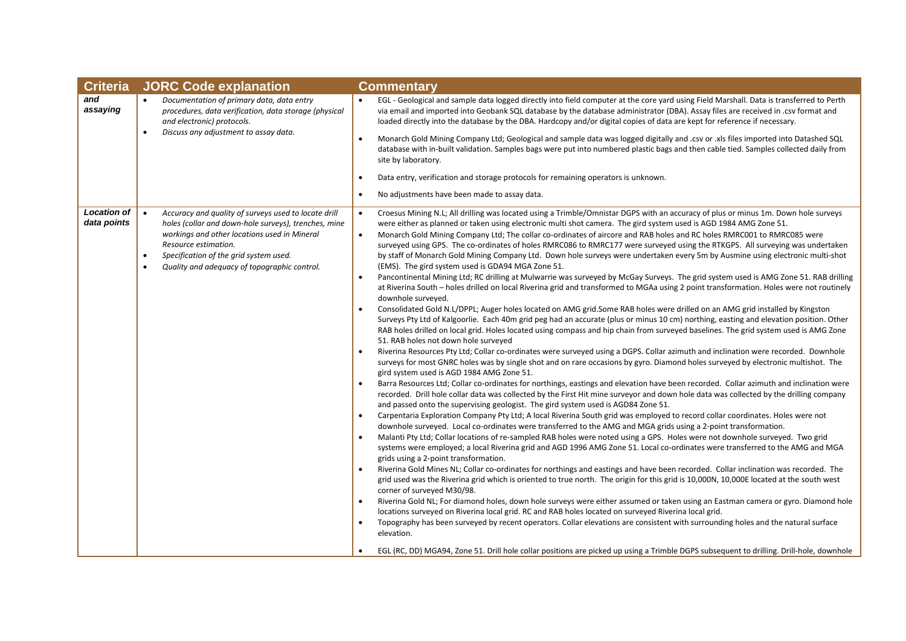| and<br>Documentation of primary data, data entry<br>EGL - Geological and sample data logged directly into field computer at the core yard using Field Marshall. Data is transferred to Perth<br>$\bullet$<br>assaying<br>procedures, data verification, data storage (physical<br>via email and imported into Geobank SQL database by the database administrator (DBA). Assay files are received in .csv format and<br>and electronic) protocols.<br>loaded directly into the database by the DBA. Hardcopy and/or digital copies of data are kept for reference if necessary.<br>Discuss any adjustment to assay data.<br>$\bullet$<br>Monarch Gold Mining Company Ltd; Geological and sample data was logged digitally and .csv or .xls files imported into Datashed SQL<br>$\bullet$<br>database with in-built validation. Samples bags were put into numbered plastic bags and then cable tied. Samples collected daily from<br>site by laboratory.<br>Data entry, verification and storage protocols for remaining operators is unknown.<br>No adjustments have been made to assay data.<br>$\bullet$<br><b>Location of</b><br>$\bullet$<br>Accuracy and quality of surveys used to locate drill<br>Croesus Mining N.L; All drilling was located using a Trimble/Omnistar DGPS with an accuracy of plus or minus 1m. Down hole surveys<br>$\bullet$<br>data points<br>holes (collar and down-hole surveys), trenches, mine<br>were either as planned or taken using electronic multi shot camera. The gird system used is AGD 1984 AMG Zone 51.<br>workings and other locations used in Mineral<br>Monarch Gold Mining Company Ltd; The collar co-ordinates of aircore and RAB holes and RC holes RMRC001 to RMRC085 were<br>$\bullet$<br>Resource estimation.<br>surveyed using GPS. The co-ordinates of holes RMRC086 to RMRC177 were surveyed using the RTKGPS. All surveying was undertaken<br>Specification of the grid system used.<br>by staff of Monarch Gold Mining Company Ltd. Down hole surveys were undertaken every 5m by Ausmine using electronic multi-shot<br>$\bullet$<br>Quality and adequacy of topographic control.<br>(EMS). The gird system used is GDA94 MGA Zone 51.<br>$\bullet$<br>Pancontinental Mining Ltd; RC drilling at Mulwarrie was surveyed by McGay Surveys. The grid system used is AMG Zone 51. RAB drilling<br>at Riverina South – holes drilled on local Riverina grid and transformed to MGAa using 2 point transformation. Holes were not routinely<br>downhole surveyed.<br>Consolidated Gold N.L/DPPL; Auger holes located on AMG grid.Some RAB holes were drilled on an AMG grid installed by Kingston<br>Surveys Pty Ltd of Kalgoorlie. Each 40m grid peg had an accurate (plus or minus 10 cm) northing, easting and elevation position. Other<br>RAB holes drilled on local grid. Holes located using compass and hip chain from surveyed baselines. The grid system used is AMG Zone<br>51. RAB holes not down hole surveyed<br>Riverina Resources Pty Ltd; Collar co-ordinates were surveyed using a DGPS. Collar azimuth and inclination were recorded. Downhole<br>surveys for most GNRC holes was by single shot and on rare occasions by gyro. Diamond holes surveyed by electronic multishot. The<br>gird system used is AGD 1984 AMG Zone 51.<br>Barra Resources Ltd; Collar co-ordinates for northings, eastings and elevation have been recorded. Collar azimuth and inclination were<br>$\bullet$<br>recorded. Drill hole collar data was collected by the First Hit mine surveyor and down hole data was collected by the drilling company<br>and passed onto the supervising geologist. The gird system used is AGD84 Zone 51.<br>Carpentaria Exploration Company Pty Ltd; A local Riverina South grid was employed to record collar coordinates. Holes were not<br>$\bullet$<br>downhole surveyed. Local co-ordinates were transferred to the AMG and MGA grids using a 2-point transformation.<br>Malanti Pty Ltd; Collar locations of re-sampled RAB holes were noted using a GPS. Holes were not downhole surveyed. Two grid<br>systems were employed; a local Riverina grid and AGD 1996 AMG Zone 51. Local co-ordinates were transferred to the AMG and MGA<br>grids using a 2-point transformation.<br>Riverina Gold Mines NL; Collar co-ordinates for northings and eastings and have been recorded. Collar inclination was recorded. The<br>$\bullet$<br>grid used was the Riverina grid which is oriented to true north. The origin for this grid is 10,000N, 10,000E located at the south west<br>corner of surveyed M30/98.<br>Riverina Gold NL; For diamond holes, down hole surveys were either assumed or taken using an Eastman camera or gyro. Diamond hole<br>$\bullet$<br>locations surveyed on Riverina local grid. RC and RAB holes located on surveyed Riverina local grid.<br>Topography has been surveyed by recent operators. Collar elevations are consistent with surrounding holes and the natural surface<br>elevation. | <b>Criteria</b> | <b>JORC Code explanation</b> | <b>Commentary</b>                                                                                                                        |
|------------------------------------------------------------------------------------------------------------------------------------------------------------------------------------------------------------------------------------------------------------------------------------------------------------------------------------------------------------------------------------------------------------------------------------------------------------------------------------------------------------------------------------------------------------------------------------------------------------------------------------------------------------------------------------------------------------------------------------------------------------------------------------------------------------------------------------------------------------------------------------------------------------------------------------------------------------------------------------------------------------------------------------------------------------------------------------------------------------------------------------------------------------------------------------------------------------------------------------------------------------------------------------------------------------------------------------------------------------------------------------------------------------------------------------------------------------------------------------------------------------------------------------------------------------------------------------------------------------------------------------------------------------------------------------------------------------------------------------------------------------------------------------------------------------------------------------------------------------------------------------------------------------------------------------------------------------------------------------------------------------------------------------------------------------------------------------------------------------------------------------------------------------------------------------------------------------------------------------------------------------------------------------------------------------------------------------------------------------------------------------------------------------------------------------------------------------------------------------------------------------------------------------------------------------------------------------------------------------------------------------------------------------------------------------------------------------------------------------------------------------------------------------------------------------------------------------------------------------------------------------------------------------------------------------------------------------------------------------------------------------------------------------------------------------------------------------------------------------------------------------------------------------------------------------------------------------------------------------------------------------------------------------------------------------------------------------------------------------------------------------------------------------------------------------------------------------------------------------------------------------------------------------------------------------------------------------------------------------------------------------------------------------------------------------------------------------------------------------------------------------------------------------------------------------------------------------------------------------------------------------------------------------------------------------------------------------------------------------------------------------------------------------------------------------------------------------------------------------------------------------------------------------------------------------------------------------------------------------------------------------------------------------------------------------------------------------------------------------------------------------------------------------------------------------------------------------------------------------------------------------------------------------------------------------------------------------------------------------------------------------------------------------------------------------------------------------------------------------------------------------------------------------------------------------------------------------------------------------------------------------------------------------------------------------------------------------------------------------------------------------------------|-----------------|------------------------------|------------------------------------------------------------------------------------------------------------------------------------------|
|                                                                                                                                                                                                                                                                                                                                                                                                                                                                                                                                                                                                                                                                                                                                                                                                                                                                                                                                                                                                                                                                                                                                                                                                                                                                                                                                                                                                                                                                                                                                                                                                                                                                                                                                                                                                                                                                                                                                                                                                                                                                                                                                                                                                                                                                                                                                                                                                                                                                                                                                                                                                                                                                                                                                                                                                                                                                                                                                                                                                                                                                                                                                                                                                                                                                                                                                                                                                                                                                                                                                                                                                                                                                                                                                                                                                                                                                                                                                                                                                                                                                                                                                                                                                                                                                                                                                                                                                                                                                                                                                                                                                                                                                                                                                                                                                                                                                                                                                                                                                                        |                 |                              |                                                                                                                                          |
|                                                                                                                                                                                                                                                                                                                                                                                                                                                                                                                                                                                                                                                                                                                                                                                                                                                                                                                                                                                                                                                                                                                                                                                                                                                                                                                                                                                                                                                                                                                                                                                                                                                                                                                                                                                                                                                                                                                                                                                                                                                                                                                                                                                                                                                                                                                                                                                                                                                                                                                                                                                                                                                                                                                                                                                                                                                                                                                                                                                                                                                                                                                                                                                                                                                                                                                                                                                                                                                                                                                                                                                                                                                                                                                                                                                                                                                                                                                                                                                                                                                                                                                                                                                                                                                                                                                                                                                                                                                                                                                                                                                                                                                                                                                                                                                                                                                                                                                                                                                                                        |                 |                              |                                                                                                                                          |
|                                                                                                                                                                                                                                                                                                                                                                                                                                                                                                                                                                                                                                                                                                                                                                                                                                                                                                                                                                                                                                                                                                                                                                                                                                                                                                                                                                                                                                                                                                                                                                                                                                                                                                                                                                                                                                                                                                                                                                                                                                                                                                                                                                                                                                                                                                                                                                                                                                                                                                                                                                                                                                                                                                                                                                                                                                                                                                                                                                                                                                                                                                                                                                                                                                                                                                                                                                                                                                                                                                                                                                                                                                                                                                                                                                                                                                                                                                                                                                                                                                                                                                                                                                                                                                                                                                                                                                                                                                                                                                                                                                                                                                                                                                                                                                                                                                                                                                                                                                                                                        |                 |                              |                                                                                                                                          |
|                                                                                                                                                                                                                                                                                                                                                                                                                                                                                                                                                                                                                                                                                                                                                                                                                                                                                                                                                                                                                                                                                                                                                                                                                                                                                                                                                                                                                                                                                                                                                                                                                                                                                                                                                                                                                                                                                                                                                                                                                                                                                                                                                                                                                                                                                                                                                                                                                                                                                                                                                                                                                                                                                                                                                                                                                                                                                                                                                                                                                                                                                                                                                                                                                                                                                                                                                                                                                                                                                                                                                                                                                                                                                                                                                                                                                                                                                                                                                                                                                                                                                                                                                                                                                                                                                                                                                                                                                                                                                                                                                                                                                                                                                                                                                                                                                                                                                                                                                                                                                        |                 |                              | EGL (RC, DD) MGA94, Zone 51. Drill hole collar positions are picked up using a Trimble DGPS subsequent to drilling. Drill-hole, downhole |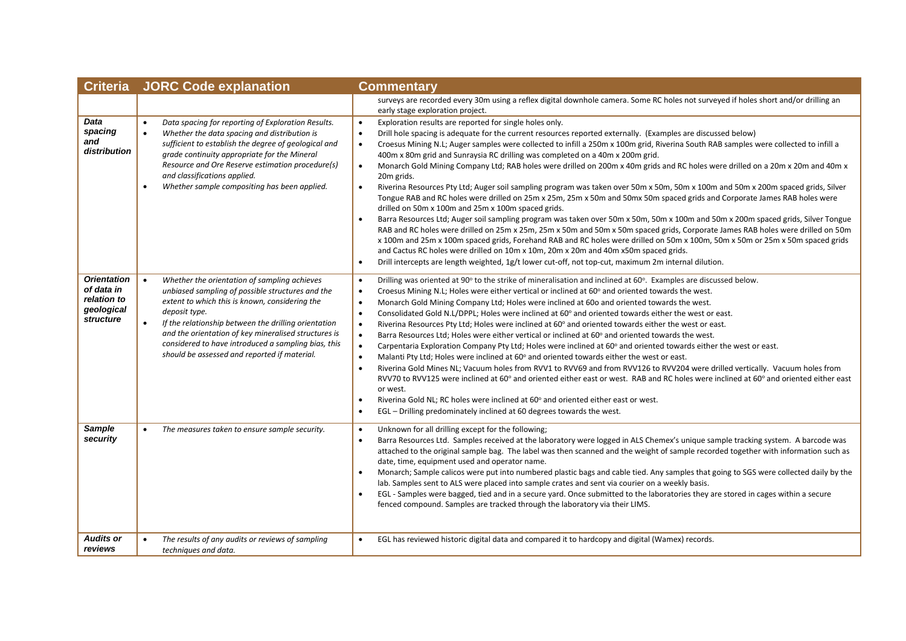| <b>Criteria</b>                                                            | <b>JORC Code explanation</b>                                                                                                                                                                                                                                                                                                                                                                                         | <b>Commentary</b>                                                                                                                                                                                                                                                                                                                                                                                                                                                                                                                                                                                                                                                                                                                                                                                                                                                                                                                                                                                                                                                                                                                                                                                                                                                                                                                                                                                                                                                                                                                                            |  |
|----------------------------------------------------------------------------|----------------------------------------------------------------------------------------------------------------------------------------------------------------------------------------------------------------------------------------------------------------------------------------------------------------------------------------------------------------------------------------------------------------------|--------------------------------------------------------------------------------------------------------------------------------------------------------------------------------------------------------------------------------------------------------------------------------------------------------------------------------------------------------------------------------------------------------------------------------------------------------------------------------------------------------------------------------------------------------------------------------------------------------------------------------------------------------------------------------------------------------------------------------------------------------------------------------------------------------------------------------------------------------------------------------------------------------------------------------------------------------------------------------------------------------------------------------------------------------------------------------------------------------------------------------------------------------------------------------------------------------------------------------------------------------------------------------------------------------------------------------------------------------------------------------------------------------------------------------------------------------------------------------------------------------------------------------------------------------------|--|
|                                                                            |                                                                                                                                                                                                                                                                                                                                                                                                                      | surveys are recorded every 30m using a reflex digital downhole camera. Some RC holes not surveyed if holes short and/or drilling an<br>early stage exploration project.                                                                                                                                                                                                                                                                                                                                                                                                                                                                                                                                                                                                                                                                                                                                                                                                                                                                                                                                                                                                                                                                                                                                                                                                                                                                                                                                                                                      |  |
| Data<br>spacing<br>and<br>distribution                                     | Data spacing for reporting of Exploration Results.<br>$\bullet$<br>Whether the data spacing and distribution is<br>$\bullet$<br>sufficient to establish the degree of geological and<br>grade continuity appropriate for the Mineral<br>Resource and Ore Reserve estimation procedure(s)<br>and classifications applied.<br>Whether sample compositing has been applied.<br>$\bullet$                                | Exploration results are reported for single holes only.<br>$\bullet$<br>Drill hole spacing is adequate for the current resources reported externally. (Examples are discussed below)<br>$\bullet$<br>$\bullet$<br>Croesus Mining N.L; Auger samples were collected to infill a 250m x 100m grid, Riverina South RAB samples were collected to infill a<br>400m x 80m grid and Sunraysia RC drilling was completed on a 40m x 200m grid.<br>Monarch Gold Mining Company Ltd; RAB holes were drilled on 200m x 40m grids and RC holes were drilled on a 20m x 20m and 40m x<br>$\bullet$<br>20m grids.<br>Riverina Resources Pty Ltd; Auger soil sampling program was taken over 50m x 50m, 50m x 100m and 50m x 200m spaced grids, Silver<br>$\bullet$<br>Tongue RAB and RC holes were drilled on 25m x 25m, 25m x 50m and 50mx 50m spaced grids and Corporate James RAB holes were<br>drilled on 50m x 100m and 25m x 100m spaced grids.<br>Barra Resources Ltd; Auger soil sampling program was taken over 50m x 50m, 50m x 100m and 50m x 200m spaced grids, Silver Tongue<br>RAB and RC holes were drilled on 25m x 25m, 25m x 50m and 50m x 50m spaced grids, Corporate James RAB holes were drilled on 50m<br>x 100m and 25m x 100m spaced grids, Forehand RAB and RC holes were drilled on 50m x 100m, 50m x 50m or 25m x 50m spaced grids<br>and Cactus RC holes were drilled on 10m x 10m, 20m x 20m and 40m x50m spaced grids.<br>Drill intercepts are length weighted, 1g/t lower cut-off, not top-cut, maximum 2m internal dilution.<br>$\bullet$ |  |
| <b>Orientation</b><br>of data in<br>relation to<br>geological<br>structure | Whether the orientation of sampling achieves<br>$\bullet$<br>unbiased sampling of possible structures and the<br>extent to which this is known, considering the<br>deposit type.<br>If the relationship between the drilling orientation<br>$\bullet$<br>and the orientation of key mineralised structures is<br>considered to have introduced a sampling bias, this<br>should be assessed and reported if material. | Drilling was oriented at 90° to the strike of mineralisation and inclined at 60°. Examples are discussed below.<br>$\bullet$<br>$\bullet$<br>Croesus Mining N.L; Holes were either vertical or inclined at 60° and oriented towards the west.<br>Monarch Gold Mining Company Ltd; Holes were inclined at 600 and oriented towards the west.<br>$\bullet$<br>$\bullet$<br>Consolidated Gold N.L/DPPL; Holes were inclined at 60° and oriented towards either the west or east.<br>Riverina Resources Pty Ltd; Holes were inclined at 60° and oriented towards either the west or east.<br>$\bullet$<br>$\bullet$<br>Barra Resources Ltd; Holes were either vertical or inclined at 60° and oriented towards the west.<br>Carpentaria Exploration Company Pty Ltd; Holes were inclined at 60° and oriented towards either the west or east.<br>$\bullet$<br>Malanti Pty Ltd; Holes were inclined at 60° and oriented towards either the west or east.<br>$\bullet$<br>Riverina Gold Mines NL; Vacuum holes from RVV1 to RVV69 and from RVV126 to RVV204 were drilled vertically. Vacuum holes from<br>$\bullet$<br>RVV70 to RVV125 were inclined at 60° and oriented either east or west. RAB and RC holes were inclined at 60° and oriented either east<br>or west.<br>Riverina Gold NL; RC holes were inclined at 60° and oriented either east or west.<br>$\bullet$<br>EGL - Drilling predominately inclined at 60 degrees towards the west.                                                                                                                |  |
| <b>Sample</b><br>security                                                  | The measures taken to ensure sample security.<br>$\bullet$                                                                                                                                                                                                                                                                                                                                                           | Unknown for all drilling except for the following;<br>$\bullet$<br>Barra Resources Ltd. Samples received at the laboratory were logged in ALS Chemex's unique sample tracking system. A barcode was<br>$\bullet$<br>attached to the original sample bag. The label was then scanned and the weight of sample recorded together with information such as<br>date, time, equipment used and operator name.<br>Monarch; Sample calicos were put into numbered plastic bags and cable tied. Any samples that going to SGS were collected daily by the<br>lab. Samples sent to ALS were placed into sample crates and sent via courier on a weekly basis.<br>EGL - Samples were bagged, tied and in a secure yard. Once submitted to the laboratories they are stored in cages within a secure<br>fenced compound. Samples are tracked through the laboratory via their LIMS.                                                                                                                                                                                                                                                                                                                                                                                                                                                                                                                                                                                                                                                                                     |  |
| <b>Audits or</b><br>reviews                                                | The results of any audits or reviews of sampling<br>$\bullet$<br>techniques and data.                                                                                                                                                                                                                                                                                                                                | EGL has reviewed historic digital data and compared it to hardcopy and digital (Wamex) records.                                                                                                                                                                                                                                                                                                                                                                                                                                                                                                                                                                                                                                                                                                                                                                                                                                                                                                                                                                                                                                                                                                                                                                                                                                                                                                                                                                                                                                                              |  |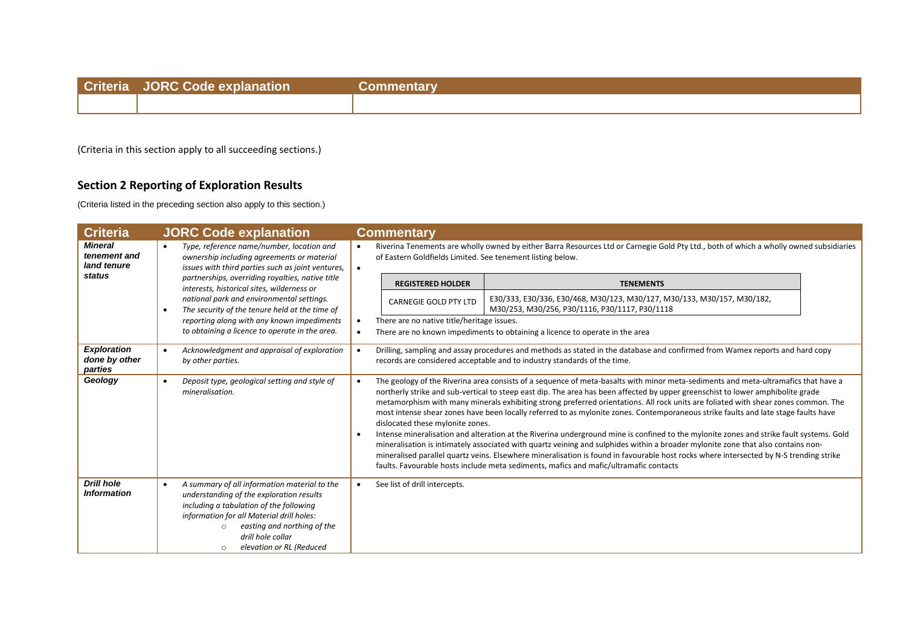| <b>Criteria</b> | JORC Code ex |  |
|-----------------|--------------|--|
|                 |              |  |
|                 |              |  |

(Criteria in this section apply to all succeeding sections.)

## **Section 2 Reporting of Exploration Results**

(Criteria listed in the preceding section also apply to this section.)

| <b>Criteria</b>                                |                                                                                                                                                           | <b>JORC Code explanation</b>                                                                                                                                                                                                                                                             |                        | <b>Commentary</b>                                          |                                                                                                                                                                                                                                                                                                                                                                                                                                                                                                                                                                                                                                                                                                                                                                                                                                                                                                                                                                                                                                                                     |  |
|------------------------------------------------|-----------------------------------------------------------------------------------------------------------------------------------------------------------|------------------------------------------------------------------------------------------------------------------------------------------------------------------------------------------------------------------------------------------------------------------------------------------|------------------------|------------------------------------------------------------|---------------------------------------------------------------------------------------------------------------------------------------------------------------------------------------------------------------------------------------------------------------------------------------------------------------------------------------------------------------------------------------------------------------------------------------------------------------------------------------------------------------------------------------------------------------------------------------------------------------------------------------------------------------------------------------------------------------------------------------------------------------------------------------------------------------------------------------------------------------------------------------------------------------------------------------------------------------------------------------------------------------------------------------------------------------------|--|
| <b>Mineral</b><br>tenement and<br>land tenure  | Type, reference name/number, location and<br>$\bullet$<br>ownership including agreements or material<br>issues with third parties such as joint ventures, |                                                                                                                                                                                                                                                                                          | $\bullet$<br>$\bullet$ | of Eastern Goldfields Limited. See tenement listing below. | Riverina Tenements are wholly owned by either Barra Resources Ltd or Carnegie Gold Pty Ltd., both of which a wholly owned subsidiaries                                                                                                                                                                                                                                                                                                                                                                                                                                                                                                                                                                                                                                                                                                                                                                                                                                                                                                                              |  |
| status                                         |                                                                                                                                                           | partnerships, overriding royalties, native title<br>interests, historical sites, wilderness or                                                                                                                                                                                           |                        | <b>REGISTERED HOLDER</b>                                   | <b>TENEMENTS</b>                                                                                                                                                                                                                                                                                                                                                                                                                                                                                                                                                                                                                                                                                                                                                                                                                                                                                                                                                                                                                                                    |  |
|                                                | $\bullet$                                                                                                                                                 | national park and environmental settings.<br>The security of the tenure held at the time of                                                                                                                                                                                              |                        | <b>CARNEGIE GOLD PTY LTD</b>                               | E30/333, E30/336, E30/468, M30/123, M30/127, M30/133, M30/157, M30/182,<br>M30/253, M30/256, P30/1116, P30/1117, P30/1118                                                                                                                                                                                                                                                                                                                                                                                                                                                                                                                                                                                                                                                                                                                                                                                                                                                                                                                                           |  |
|                                                |                                                                                                                                                           | reporting along with any known impediments<br>to obtaining a licence to operate in the area.                                                                                                                                                                                             |                        | There are no native title/heritage issues.                 | There are no known impediments to obtaining a licence to operate in the area                                                                                                                                                                                                                                                                                                                                                                                                                                                                                                                                                                                                                                                                                                                                                                                                                                                                                                                                                                                        |  |
| <b>Exploration</b><br>done by other<br>parties | $\bullet$                                                                                                                                                 | Acknowledgment and appraisal of exploration<br>by other parties.                                                                                                                                                                                                                         |                        |                                                            | Drilling, sampling and assay procedures and methods as stated in the database and confirmed from Wamex reports and hard copy<br>records are considered acceptable and to industry standards of the time.                                                                                                                                                                                                                                                                                                                                                                                                                                                                                                                                                                                                                                                                                                                                                                                                                                                            |  |
| Geology                                        | $\bullet$                                                                                                                                                 | Deposit type, geological setting and style of<br>mineralisation.                                                                                                                                                                                                                         |                        | dislocated these mylonite zones.                           | The geology of the Riverina area consists of a sequence of meta-basalts with minor meta-sediments and meta-ultramafics that have a<br>northerly strike and sub-vertical to steep east dip. The area has been affected by upper greenschist to lower amphibolite grade<br>metamorphism with many minerals exhibiting strong preferred orientations. All rock units are foliated with shear zones common. The<br>most intense shear zones have been locally referred to as mylonite zones. Contemporaneous strike faults and late stage faults have<br>Intense mineralisation and alteration at the Riverina underground mine is confined to the mylonite zones and strike fault systems. Gold<br>mineralisation is intimately associated with quartz veining and sulphides within a broader mylonite zone that also contains non-<br>mineralised parallel quartz veins. Elsewhere mineralisation is found in favourable host rocks where intersected by N-S trending strike<br>faults. Favourable hosts include meta sediments, mafics and mafic/ultramafic contacts |  |
| <b>Drill hole</b><br><b>Information</b>        | $\bullet$                                                                                                                                                 | A summary of all information material to the<br>understanding of the exploration results<br>including a tabulation of the following<br>information for all Material drill holes:<br>easting and northing of the<br>$\bigcap$<br>drill hole collar<br>elevation or RL (Reduced<br>$\circ$ | $\bullet$              | See list of drill intercepts.                              |                                                                                                                                                                                                                                                                                                                                                                                                                                                                                                                                                                                                                                                                                                                                                                                                                                                                                                                                                                                                                                                                     |  |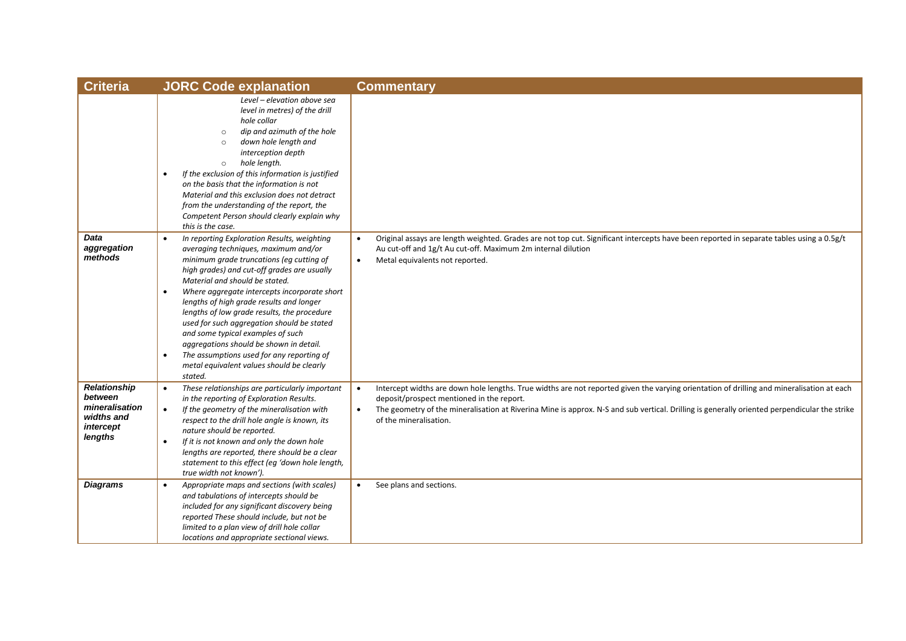| <b>Criteria</b>                                                                        | <b>JORC Code explanation</b>                                                                                                                                                                                                                                                                                                                                                                                                                                                                                                                                                                                                          | <b>Commentary</b>                                                                                                                                                                                                                                                                                                                                                             |
|----------------------------------------------------------------------------------------|---------------------------------------------------------------------------------------------------------------------------------------------------------------------------------------------------------------------------------------------------------------------------------------------------------------------------------------------------------------------------------------------------------------------------------------------------------------------------------------------------------------------------------------------------------------------------------------------------------------------------------------|-------------------------------------------------------------------------------------------------------------------------------------------------------------------------------------------------------------------------------------------------------------------------------------------------------------------------------------------------------------------------------|
|                                                                                        | Level - elevation above sea<br>level in metres) of the drill<br>hole collar<br>dip and azimuth of the hole<br>$\circ$<br>down hole length and<br>$\circ$<br>interception depth<br>hole length.<br>$\circ$<br>If the exclusion of this information is justified<br>$\bullet$<br>on the basis that the information is not<br>Material and this exclusion does not detract<br>from the understanding of the report, the<br>Competent Person should clearly explain why<br>this is the case.                                                                                                                                              |                                                                                                                                                                                                                                                                                                                                                                               |
| Data<br>aggregation<br>methods                                                         | In reporting Exploration Results, weighting<br>$\bullet$<br>averaging techniques, maximum and/or<br>minimum grade truncations (eq cutting of<br>high grades) and cut-off grades are usually<br>Material and should be stated.<br>Where aggregate intercepts incorporate short<br>$\bullet$<br>lengths of high grade results and longer<br>lengths of low grade results, the procedure<br>used for such aggregation should be stated<br>and some typical examples of such<br>aggregations should be shown in detail.<br>The assumptions used for any reporting of<br>$\bullet$<br>metal equivalent values should be clearly<br>stated. | Original assays are length weighted. Grades are not top cut. Significant intercepts have been reported in separate tables using a 0.5g/t<br>Au cut-off and 1g/t Au cut-off. Maximum 2m internal dilution<br>Metal equivalents not reported.<br>$\bullet$                                                                                                                      |
| <b>Relationship</b><br>between<br>mineralisation<br>widths and<br>intercept<br>lengths | These relationships are particularly important<br>$\bullet$<br>in the reporting of Exploration Results.<br>$\bullet$<br>If the geometry of the mineralisation with<br>respect to the drill hole angle is known, its<br>nature should be reported.<br>If it is not known and only the down hole<br>$\bullet$<br>lengths are reported, there should be a clear<br>statement to this effect (eq 'down hole length,<br>true width not known').                                                                                                                                                                                            | Intercept widths are down hole lengths. True widths are not reported given the varying orientation of drilling and mineralisation at each<br>deposit/prospect mentioned in the report.<br>The geometry of the mineralisation at Riverina Mine is approx. N-S and sub vertical. Drilling is generally oriented perpendicular the strike<br>$\bullet$<br>of the mineralisation. |
| <b>Diagrams</b>                                                                        | Appropriate maps and sections (with scales)<br>$\bullet$<br>and tabulations of intercepts should be<br>included for any significant discovery being<br>reported These should include, but not be<br>limited to a plan view of drill hole collar<br>locations and appropriate sectional views.                                                                                                                                                                                                                                                                                                                                         | See plans and sections.<br>$\bullet$                                                                                                                                                                                                                                                                                                                                          |